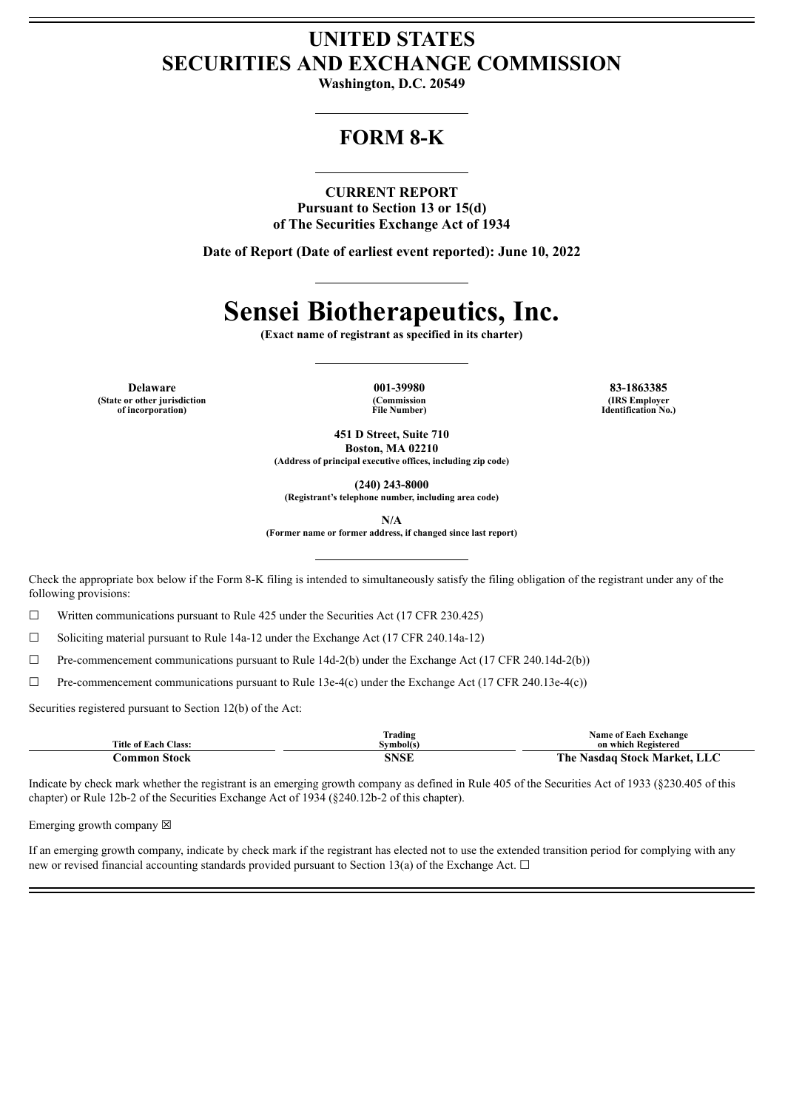## **UNITED STATES SECURITIES AND EXCHANGE COMMISSION**

**Washington, D.C. 20549**

## **FORM 8-K**

#### **CURRENT REPORT**

**Pursuant to Section 13 or 15(d) of The Securities Exchange Act of 1934**

**Date of Report (Date of earliest event reported): June 10, 2022**

# **Sensei Biotherapeutics, Inc.**

**(Exact name of registrant as specified in its charter)**

**Delaware 001-39980 83-1863385 (State or other jurisdiction of incorporation)**

**(Commission File Number)**

**(IRS Employer Identification No.)**

**451 D Street, Suite 710 Boston, MA 02210 (Address of principal executive offices, including zip code)**

**(240) 243-8000**

**(Registrant's telephone number, including area code)**

**N/A**

**(Former name or former address, if changed since last report)**

Check the appropriate box below if the Form 8-K filing is intended to simultaneously satisfy the filing obligation of the registrant under any of the following provisions:

☐ Written communications pursuant to Rule 425 under the Securities Act (17 CFR 230.425)

☐ Soliciting material pursuant to Rule 14a-12 under the Exchange Act (17 CFR 240.14a-12)

☐ Pre-commencement communications pursuant to Rule 14d-2(b) under the Exchange Act (17 CFR 240.14d-2(b))

 $\Box$  Pre-commencement communications pursuant to Rule 13e-4(c) under the Exchange Act (17 CFR 240.13e-4(c))

Securities registered pursuant to Section 12(b) of the Act:

|                             | frading   | <b>Name of Each Exchange</b> |
|-----------------------------|-----------|------------------------------|
| <b>Title of Each Class:</b> | Svmbol(s) | on which Registered          |
| :ommon Stock                | SNSF      | The Nasdaq Stock Market, LLC |

Indicate by check mark whether the registrant is an emerging growth company as defined in Rule 405 of the Securities Act of 1933 (§230.405 of this chapter) or Rule 12b-2 of the Securities Exchange Act of 1934 (§240.12b-2 of this chapter).

Emerging growth company  $\boxtimes$ 

If an emerging growth company, indicate by check mark if the registrant has elected not to use the extended transition period for complying with any new or revised financial accounting standards provided pursuant to Section 13(a) of the Exchange Act.  $\Box$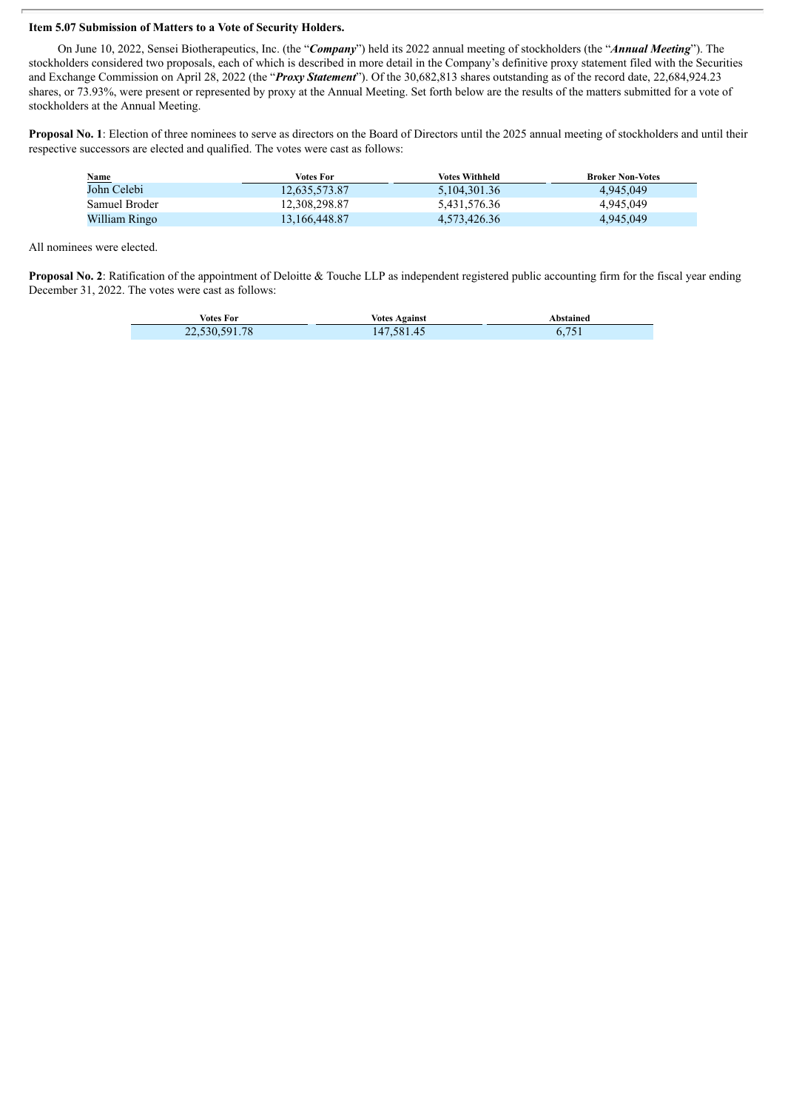### **Item 5.07 Submission of Matters to a Vote of Security Holders.**

On June 10, 2022, Sensei Biotherapeutics, Inc. (the "*Company*") held its 2022 annual meeting of stockholders (the "*Annual Meeting*"). The stockholders considered two proposals, each of which is described in more detail in the Company's definitive proxy statement filed with the Securities and Exchange Commission on April 28, 2022 (the "*Proxy Statement*"). Of the 30,682,813 shares outstanding as of the record date, 22,684,924.23 shares, or 73.93%, were present or represented by proxy at the Annual Meeting. Set forth below are the results of the matters submitted for a vote of stockholders at the Annual Meeting.

**Proposal No. 1**: Election of three nominees to serve as directors on the Board of Directors until the 2025 annual meeting of stockholders and until their respective successors are elected and qualified. The votes were cast as follows:

| <b>Name</b>   | Votes For        | Votes Withheld | <b>Broker Non-Votes</b> |
|---------------|------------------|----------------|-------------------------|
| John Celebi   | 12.635.573.87    | 5,104,301.36   | 4,945,049               |
| Samuel Broder | 12,308,298.87    | 5,431,576.36   | 4,945,049               |
| William Ringo | 13, 166, 448. 87 | 4,573,426.36   | 4,945,049               |

All nominees were elected.

**Proposal No. 2**: Ratification of the appointment of Deloitte & Touche LLP as independent registered public accounting firm for the fiscal year ending December 31, 2022. The votes were cast as follows:

| Votes For     | <b>Votes Against</b> | Abstained    |
|---------------|----------------------|--------------|
| 22,530,591.78 | 147,581.45           | 751<br>0.721 |